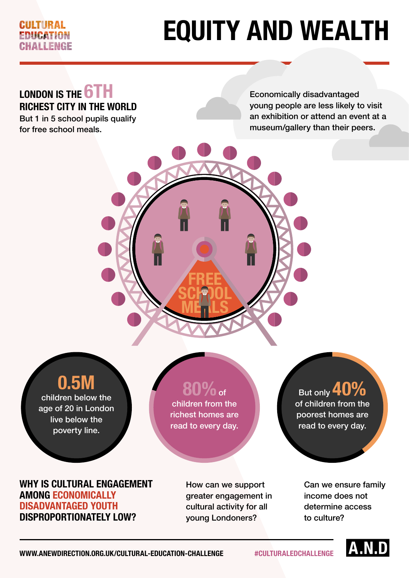### CULTURAL FRIICATION **JAILENGE**

# **EQUITY AND WEALTH**

## **LONDON IS THE 6TH RICHEST CITY IN THE WORLD**

But 1 in 5 school pupils qualify for free school meals.

Economically disadvantaged young people are less likely to visit an exhibition or attend an event at a museum/gallery than their peers.

## **0.5M**

children below the age of 20 in London live below the poverty line.

## **80%**of

**FREE**

**SCHOOL** 

**MEALS** 

children from the richest homes are read to every day.

#### **WHY IS CULTURAL ENGAGEMENT AMONG ECONOMICALLY DISADVANTAGED YOUTH DISPROPORTIONATELY LOW?**

How can we support greater engagement in cultural activity for all young Londoners?

### But only **40%** of children from the poorest homes are read to every day.

Can we ensure family income does not determine access to culture?



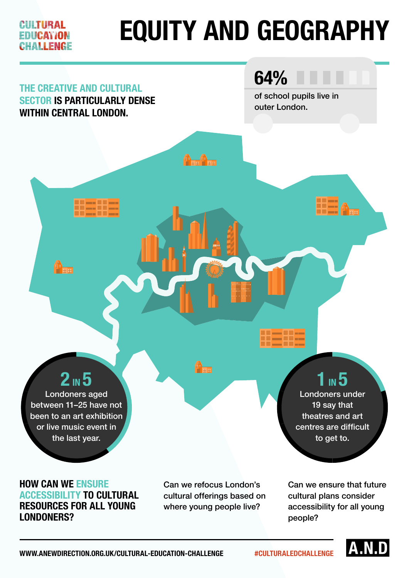## **EQUITY AND GEOGRAPHY** CULTURAL **EDIICAY/ON** HAI I FNGF **64% THE CREATIVE AND CULTURAL**  of school pupils live in **SECTOR IS PARTICULARLY DENSE**  outer London.**WITHIN CENTRAL LONDON.** A. a<br>Heb **2 IN 5 1** IN 5 Londoners aged Londoners under between 11–25 have not 19 say that been to an art exhibition theatres and art or live music event in centres are difficult the last year. to get to.

### **HOW CAN WE ENSURE ACCESSIBILITY TO CULTURAL RESOURCES FOR ALL YOUNG LONDONERS?**

Can we refocus London's cultural offerings based on where young people live?

Can we ensure that future cultural plans consider accessibility for all young people?

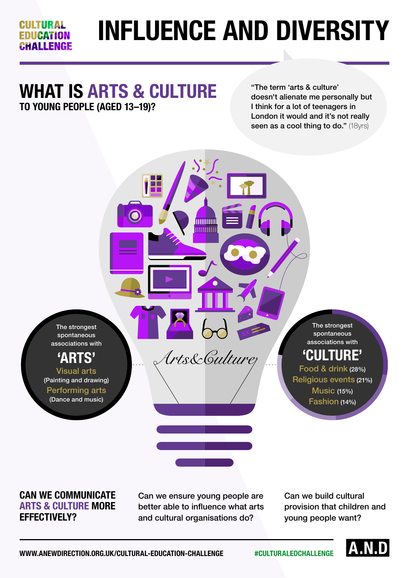## **INFLUENCE AND DIVERSITY**

## **WHAT IS ARTS & CULTURE TO YOUNG PEOPLE (AGED 13–19)?**

**CULTURAL EDIICATION** CHALLENGE

> "The term 'arts & culture' doesn't alienate me personally but I think for a lot of teenagers in London it would and it's not really seen as a cool thing to do." (18yrs)

The strongest spontaneous associations with

## **'ARTS'**

Visual arts (Painting and drawing) Performing arts (Dance and music)

The strongest spontaneous associations with

## **'CULTURE'**

Food & drink (28%) Religious events (21%) Music (15%) Fashion (14%)

#### **CAN WE COMMUNICATE ARTS & CULTURE MORE EFFECTIVELY?**

Can we ensure young people are better able to influence what arts and cultural organisations do?

mmmm mmm

Uts&Gulturez

Can we build cultural provision that children and young people want?

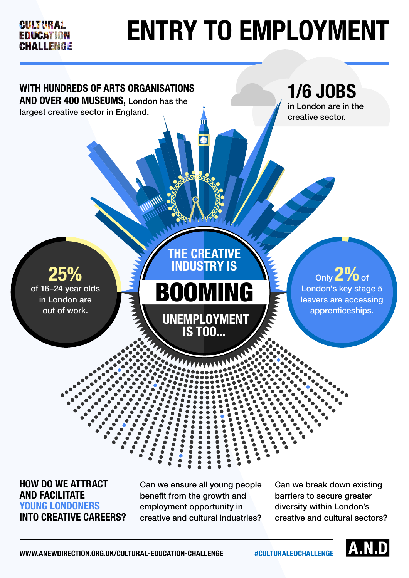### CULTURAL EDUCATION **CHALLENGE**

# **ENTRY TO EMPLOYMENT**



**HOW DO WE ATTRACT AND FACILITATE YOUNG LONDONERS INTO CREATIVE CAREERS?** 

Can we ensure all young people benefit from the growth and employment opportunity in creative and cultural industries?

Can we break down existing barriers to secure greater diversity within London's creative and cultural sectors?

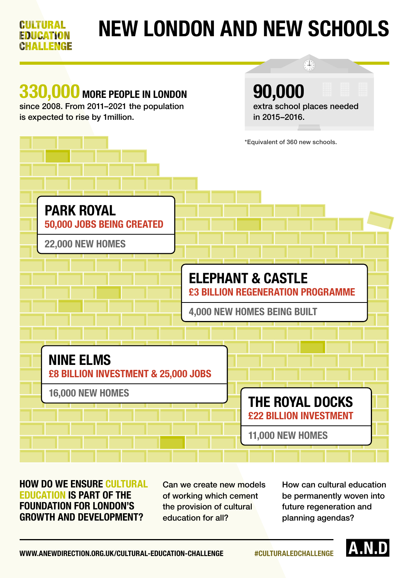#### **NEW LONDON AND NEW SCHOOLS** GULTURAL **EDUCATION** AI I FNGF  $(1)$

## **330,000 MORE PEOPLE IN LONDON**

since 2008. From 2011–2021 the population is expected to rise by 1million.

**90,000** extra school places needed in 2015–2016.



### **HOW DO WE ENSURE CULTURAL EDUCATION IS PART OF THE FOUNDATION FOR LONDON'S GROWTH AND DEVELOPMENT?**

Can we create new models of working which cement the provision of cultural education for all?

How can cultural education be permanently woven into future regeneration and planning agendas?